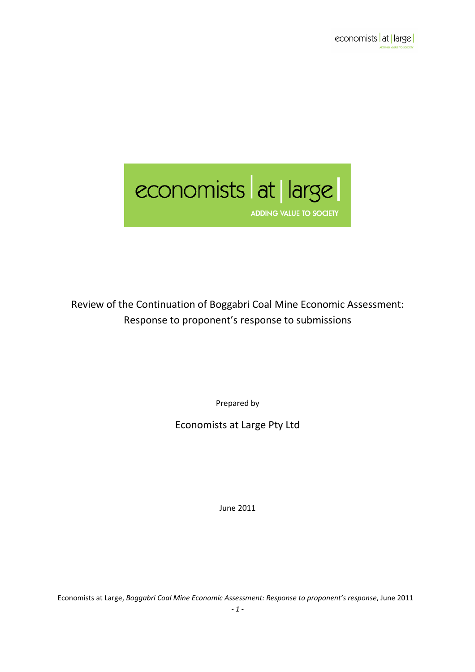# economists at large ADDING VALUE TO SOCIETY

Review of the Continuation of Boggabri Coal Mine Economic Assessment: Response to proponent's response to submissions

Prepared by

Economists at Large Pty Ltd

June 2011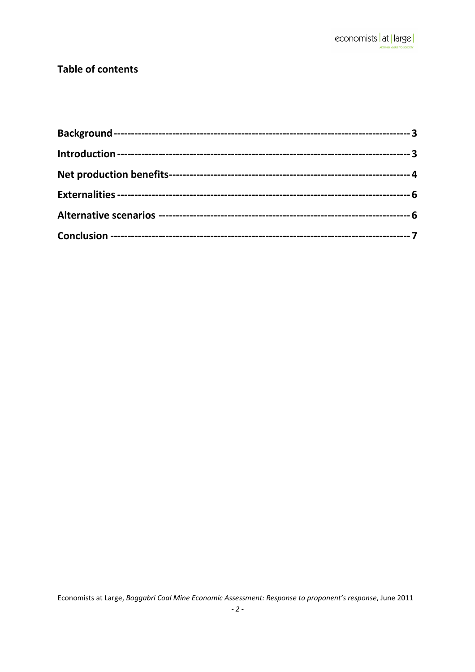### **Table of contents**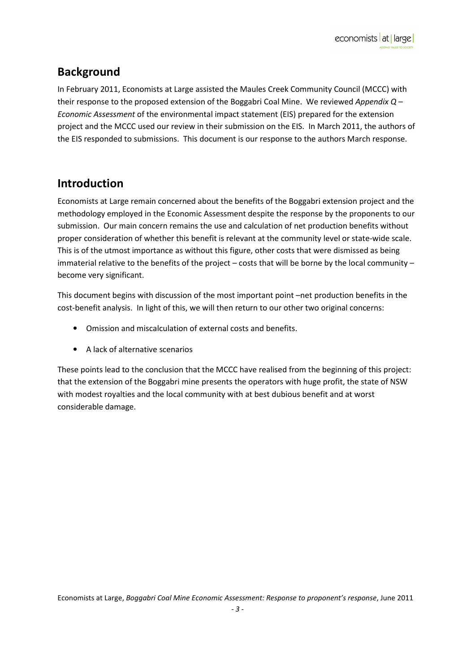# Background

In February 2011, Economists at Large assisted the Maules Creek Community Council (MCCC) with their response to the proposed extension of the Boggabri Coal Mine. We reviewed Appendix  $Q -$ Economic Assessment of the environmental impact statement (EIS) prepared for the extension project and the MCCC used our review in their submission on the EIS. In March 2011, the authors of the EIS responded to submissions. This document is our response to the authors March response.

# Introduction

Economists at Large remain concerned about the benefits of the Boggabri extension project and the methodology employed in the Economic Assessment despite the response by the proponents to our submission. Our main concern remains the use and calculation of net production benefits without proper consideration of whether this benefit is relevant at the community level or state-wide scale. This is of the utmost importance as without this figure, other costs that were dismissed as being immaterial relative to the benefits of the project – costs that will be borne by the local community – become very significant.

This document begins with discussion of the most important point –net production benefits in the cost-benefit analysis. In light of this, we will then return to our other two original concerns:

- Omission and miscalculation of external costs and benefits.
- A lack of alternative scenarios

These points lead to the conclusion that the MCCC have realised from the beginning of this project: that the extension of the Boggabri mine presents the operators with huge profit, the state of NSW with modest royalties and the local community with at best dubious benefit and at worst considerable damage.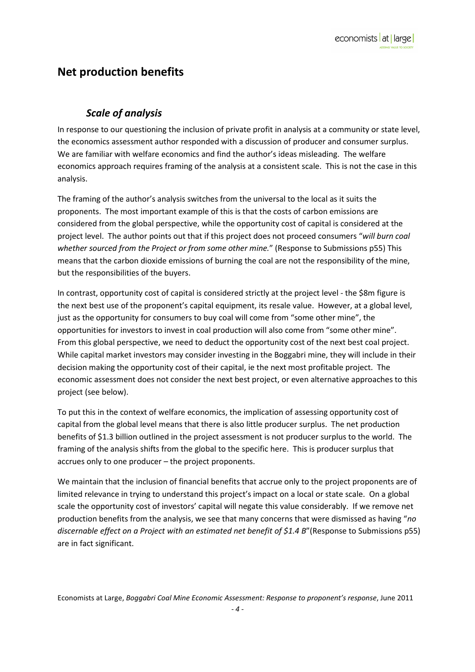## Net production benefits

### Scale of analysis

In response to our questioning the inclusion of private profit in analysis at a community or state level, the economics assessment author responded with a discussion of producer and consumer surplus. We are familiar with welfare economics and find the author's ideas misleading. The welfare economics approach requires framing of the analysis at a consistent scale. This is not the case in this analysis.

The framing of the author's analysis switches from the universal to the local as it suits the proponents. The most important example of this is that the costs of carbon emissions are considered from the global perspective, while the opportunity cost of capital is considered at the project level. The author points out that if this project does not proceed consumers "will burn coal whether sourced from the Project or from some other mine." (Response to Submissions p55) This means that the carbon dioxide emissions of burning the coal are not the responsibility of the mine, but the responsibilities of the buyers.

In contrast, opportunity cost of capital is considered strictly at the project level - the \$8m figure is the next best use of the proponent's capital equipment, its resale value. However, at a global level, just as the opportunity for consumers to buy coal will come from "some other mine", the opportunities for investors to invest in coal production will also come from "some other mine". From this global perspective, we need to deduct the opportunity cost of the next best coal project. While capital market investors may consider investing in the Boggabri mine, they will include in their decision making the opportunity cost of their capital, ie the next most profitable project. The economic assessment does not consider the next best project, or even alternative approaches to this project (see below).

To put this in the context of welfare economics, the implication of assessing opportunity cost of capital from the global level means that there is also little producer surplus. The net production benefits of \$1.3 billion outlined in the project assessment is not producer surplus to the world. The framing of the analysis shifts from the global to the specific here. This is producer surplus that accrues only to one producer – the project proponents.

We maintain that the inclusion of financial benefits that accrue only to the project proponents are of limited relevance in trying to understand this project's impact on a local or state scale. On a global scale the opportunity cost of investors' capital will negate this value considerably. If we remove net production benefits from the analysis, we see that many concerns that were dismissed as having "no discernable effect on a Project with an estimated net benefit of \$1.4 B" (Response to Submissions p55) are in fact significant.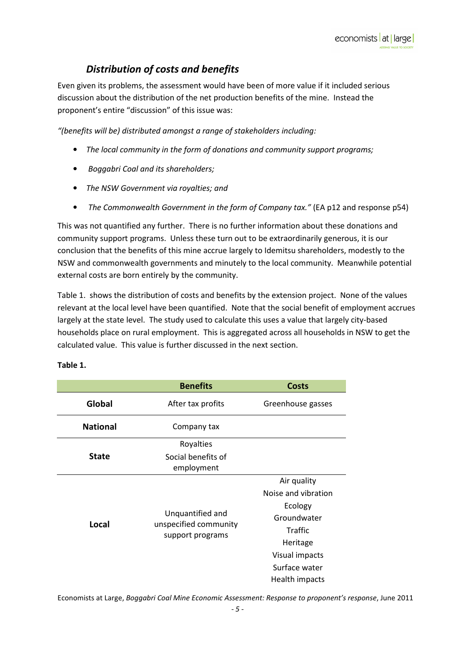### Distribution of costs and benefits

Even given its problems, the assessment would have been of more value if it included serious discussion about the distribution of the net production benefits of the mine. Instead the proponent's entire "discussion" of this issue was:

"(benefits will be) distributed amongst a range of stakeholders including:

- The local community in the form of donations and community support programs;
- Boggabri Coal and its shareholders;
- The NSW Government via royalties; and
- The Commonwealth Government in the form of Company tax." (EA p12 and response p54)

This was not quantified any further. There is no further information about these donations and community support programs. Unless these turn out to be extraordinarily generous, it is our conclusion that the benefits of this mine accrue largely to Idemitsu shareholders, modestly to the NSW and commonwealth governments and minutely to the local community. Meanwhile potential external costs are born entirely by the community.

Table 1. shows the distribution of costs and benefits by the extension project. None of the values relevant at the local level have been quantified. Note that the social benefit of employment accrues largely at the state level. The study used to calculate this uses a value that largely city-based households place on rural employment. This is aggregated across all households in NSW to get the calculated value. This value is further discussed in the next section.

|                 | <b>Benefits</b>                                               | <b>Costs</b>                                                                                                                             |
|-----------------|---------------------------------------------------------------|------------------------------------------------------------------------------------------------------------------------------------------|
| Global          | After tax profits                                             | Greenhouse gasses                                                                                                                        |
| <b>National</b> | Company tax                                                   |                                                                                                                                          |
|                 | Royalties                                                     |                                                                                                                                          |
| <b>State</b>    | Social benefits of<br>employment                              |                                                                                                                                          |
| Local           | Unquantified and<br>unspecified community<br>support programs | Air quality<br>Noise and vibration<br>Ecology<br>Groundwater<br>Traffic<br>Heritage<br>Visual impacts<br>Surface water<br>Health impacts |

#### Table 1.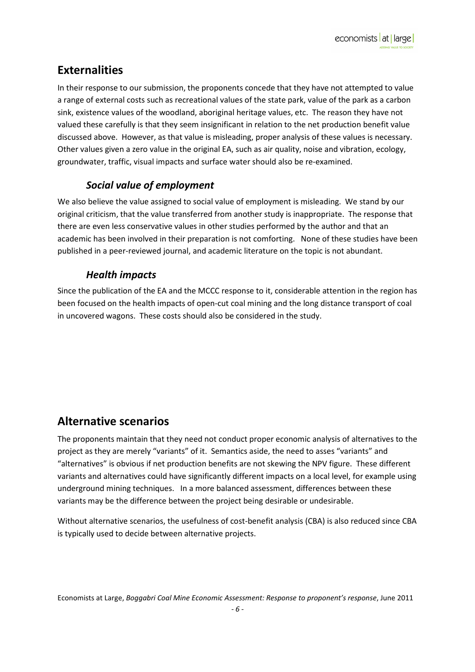# **Externalities**

In their response to our submission, the proponents concede that they have not attempted to value a range of external costs such as recreational values of the state park, value of the park as a carbon sink, existence values of the woodland, aboriginal heritage values, etc. The reason they have not valued these carefully is that they seem insignificant in relation to the net production benefit value discussed above. However, as that value is misleading, proper analysis of these values is necessary. Other values given a zero value in the original EA, such as air quality, noise and vibration, ecology, groundwater, traffic, visual impacts and surface water should also be re-examined.

### Social value of employment

We also believe the value assigned to social value of employment is misleading. We stand by our original criticism, that the value transferred from another study is inappropriate. The response that there are even less conservative values in other studies performed by the author and that an academic has been involved in their preparation is not comforting. None of these studies have been published in a peer-reviewed journal, and academic literature on the topic is not abundant.

### Health impacts

Since the publication of the EA and the MCCC response to it, considerable attention in the region has been focused on the health impacts of open-cut coal mining and the long distance transport of coal in uncovered wagons. These costs should also be considered in the study.

## Alternative scenarios

The proponents maintain that they need not conduct proper economic analysis of alternatives to the project as they are merely "variants" of it. Semantics aside, the need to asses "variants" and "alternatives" is obvious if net production benefits are not skewing the NPV figure. These different variants and alternatives could have significantly different impacts on a local level, for example using underground mining techniques. In a more balanced assessment, differences between these variants may be the difference between the project being desirable or undesirable.

Without alternative scenarios, the usefulness of cost-benefit analysis (CBA) is also reduced since CBA is typically used to decide between alternative projects.